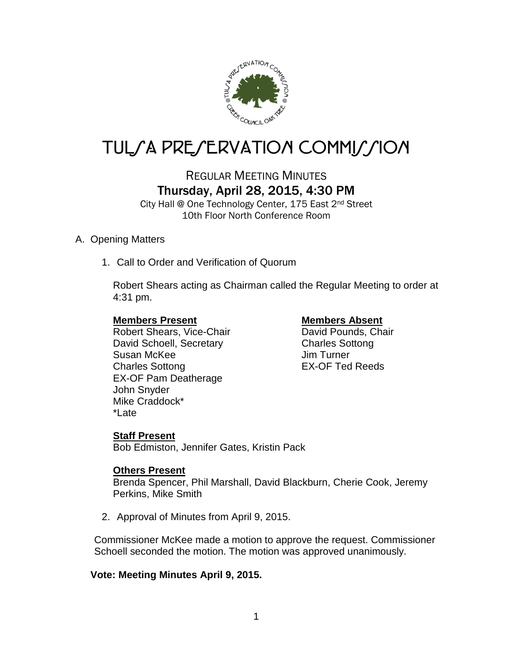

# TUL*SA PRESERVATION COMMISSION*

# REGULAR MEETING MINUTES Thursday, April 28, 2015, 4:30 PM

City Hall @ One Technology Center, 175 East 2nd Street 10th Floor North Conference Room

### A. Opening Matters

1. Call to Order and Verification of Quorum

Robert Shears acting as Chairman called the Regular Meeting to order at 4:31 pm.

**Members Present Members Absent**<br>
Robert Shears, Vice-Chair<br>
Navid Pounds, Chair Robert Shears, Vice-Chair David Schoell, Secretary Charles Sottong Susan McKee Jim Turner Charles Sottong EX-OF Ted Reeds EX-OF Pam Deatherage John Snyder Mike Craddock\* \*Late

### **Staff Present**

Bob Edmiston, Jennifer Gates, Kristin Pack

### **Others Present**

Brenda Spencer, Phil Marshall, David Blackburn, Cherie Cook, Jeremy Perkins, Mike Smith

2. Approval of Minutes from April 9, 2015.

Commissioner McKee made a motion to approve the request. Commissioner Schoell seconded the motion. The motion was approved unanimously.

### **Vote: Meeting Minutes April 9, 2015.**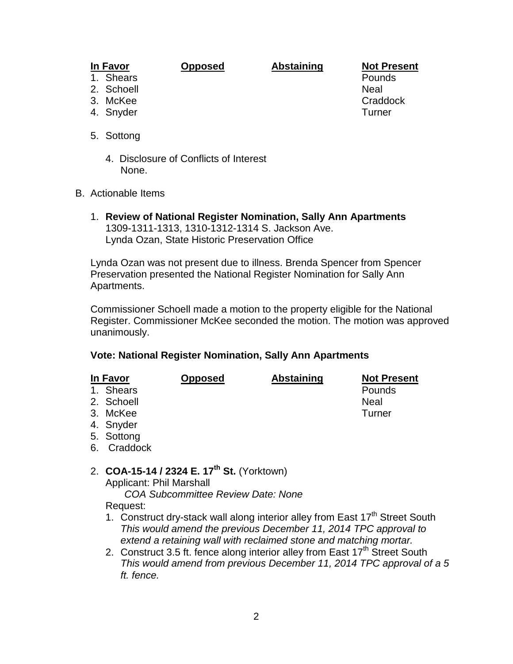# **In Favor Opposed Abstaining Not Present**

- 1. Shears
- 2. Schoell Neal
- 
- 
- 5. Sottong
	- 4. Disclosure of Conflicts of Interest None.
- B. Actionable Items
	- 1. **Review of National Register Nomination, Sally Ann Apartments** 1309-1311-1313, 1310-1312-1314 S. Jackson Ave. Lynda Ozan, State Historic Preservation Office

Lynda Ozan was not present due to illness. Brenda Spencer from Spencer Preservation presented the National Register Nomination for Sally Ann Apartments.

Commissioner Schoell made a motion to the property eligible for the National Register. Commissioner McKee seconded the motion. The motion was approved unanimously.

#### **Vote: National Register Nomination, Sally Ann Apartments**

| <u>In Favor</u> |            | <b>Opposed</b> | <b>Abstaining</b> | <b>Not Present</b> |
|-----------------|------------|----------------|-------------------|--------------------|
|                 | 1. Shears  |                |                   | Pounds             |
|                 | 2. Schoell |                |                   | <b>Neal</b>        |
|                 | 3. McKee   |                |                   | Turner             |
|                 | 4. Snyder  |                |                   |                    |
|                 | 5. Sottong |                |                   |                    |

- 6. Craddock
- 2. **COA-15-14 / 2324 E. 17th St.** (Yorktown)

Applicant: Phil Marshall *COA Subcommittee Review Date: None*

- Request:
- 1. Construct dry-stack wall along interior alley from East  $17<sup>th</sup>$  Street South *This would amend the previous December 11, 2014 TPC approval to extend a retaining wall with reclaimed stone and matching mortar.*
- 2. Construct 3.5 ft. fence along interior alley from East  $17<sup>th</sup>$  Street South *This would amend from previous December 11, 2014 TPC approval of a 5 ft. fence.*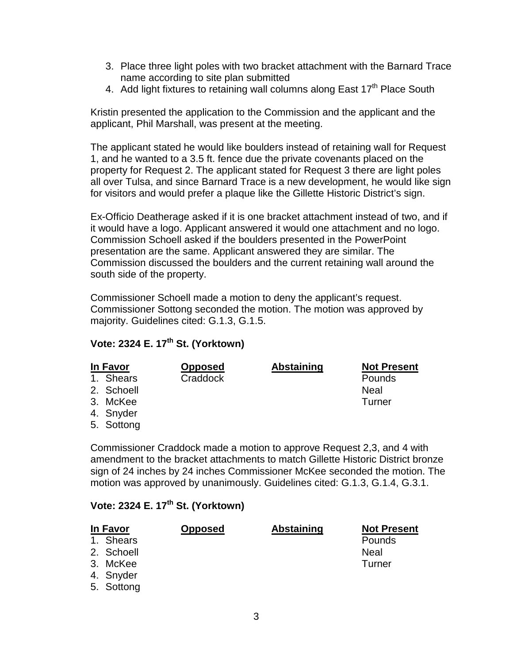- 3. Place three light poles with two bracket attachment with the Barnard Trace name according to site plan submitted
- 4. Add light fixtures to retaining wall columns along East 17<sup>th</sup> Place South

Kristin presented the application to the Commission and the applicant and the applicant, Phil Marshall, was present at the meeting.

The applicant stated he would like boulders instead of retaining wall for Request 1, and he wanted to a 3.5 ft. fence due the private covenants placed on the property for Request 2. The applicant stated for Request 3 there are light poles all over Tulsa, and since Barnard Trace is a new development, he would like sign for visitors and would prefer a plaque like the Gillette Historic District's sign.

Ex-Officio Deatherage asked if it is one bracket attachment instead of two, and if it would have a logo. Applicant answered it would one attachment and no logo. Commission Schoell asked if the boulders presented in the PowerPoint presentation are the same. Applicant answered they are similar. The Commission discussed the boulders and the current retaining wall around the south side of the property.

Commissioner Schoell made a motion to deny the applicant's request. Commissioner Sottong seconded the motion. The motion was approved by majority. Guidelines cited: G.1.3, G.1.5.

## **Vote: 2324 E. 17th St. (Yorktown)**

| In Favor |            | <b>Opposed</b> | <b>Abstaining</b> | <b>Not Present</b> |
|----------|------------|----------------|-------------------|--------------------|
|          | 1. Shears  | Craddock       |                   | Pounds             |
|          | 2. Schoell |                |                   | Neal               |
|          | 3. McKee   |                |                   | Turner             |
|          | 4. Snyder  |                |                   |                    |
|          | 5. Sottong |                |                   |                    |

Commissioner Craddock made a motion to approve Request 2,3, and 4 with amendment to the bracket attachments to match Gillette Historic District bronze sign of 24 inches by 24 inches Commissioner McKee seconded the motion. The motion was approved by unanimously. Guidelines cited: G.1.3, G.1.4, G.3.1.

### **Vote: 2324 E. 17th St. (Yorktown)**

| In Favor   | <b>Opposed</b> | <b>Abstaining</b> | <b>Not Present</b> |
|------------|----------------|-------------------|--------------------|
| 1. Shears  |                |                   | Pounds             |
| 2. Schoell |                |                   | <b>Neal</b>        |
| 3. McKee   |                |                   | Turner             |
| 4. Snyder  |                |                   |                    |
| 5. Sottong |                |                   |                    |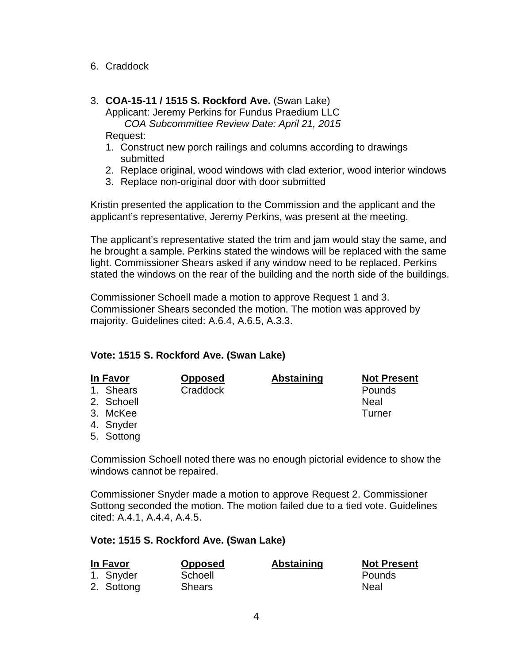- 6. Craddock
- 3. **COA-15-11 / 1515 S. Rockford Ave.** (Swan Lake) Applicant: Jeremy Perkins for Fundus Praedium LLC

*COA Subcommittee Review Date: April 21, 2015*

Request:

- 1. Construct new porch railings and columns according to drawings submitted
- 2. Replace original, wood windows with clad exterior, wood interior windows
- 3. Replace non-original door with door submitted

Kristin presented the application to the Commission and the applicant and the applicant's representative, Jeremy Perkins, was present at the meeting.

The applicant's representative stated the trim and jam would stay the same, and he brought a sample. Perkins stated the windows will be replaced with the same light. Commissioner Shears asked if any window need to be replaced. Perkins stated the windows on the rear of the building and the north side of the buildings.

Commissioner Schoell made a motion to approve Request 1 and 3. Commissioner Shears seconded the motion. The motion was approved by majority. Guidelines cited: A.6.4, A.6.5, A.3.3.

#### **Vote: 1515 S. Rockford Ave. (Swan Lake)**

| In Favor   | <b>Opposed</b> | <b>Abstaining</b> | <b>Not Present</b> |
|------------|----------------|-------------------|--------------------|
| 1. Shears  | Craddock       |                   | Pounds             |
| 2. Schoell |                |                   | Neal               |
| 3. McKee   |                |                   | Turner             |
| 4. Snyder  |                |                   |                    |
| 5. Sottong |                |                   |                    |

Commission Schoell noted there was no enough pictorial evidence to show the windows cannot be repaired.

Commissioner Snyder made a motion to approve Request 2. Commissioner Sottong seconded the motion. The motion failed due to a tied vote. Guidelines cited: A.4.1, A.4.4, A.4.5.

#### **Vote: 1515 S. Rockford Ave. (Swan Lake)**

| In Favor                | <b>Opposed</b>           | <b>Abstaining</b> | <b>Not Present</b> |
|-------------------------|--------------------------|-------------------|--------------------|
| 1. Snyder<br>2. Sottong | Schoell<br><b>Shears</b> |                   | Pounds<br>Neal     |
|                         |                          |                   |                    |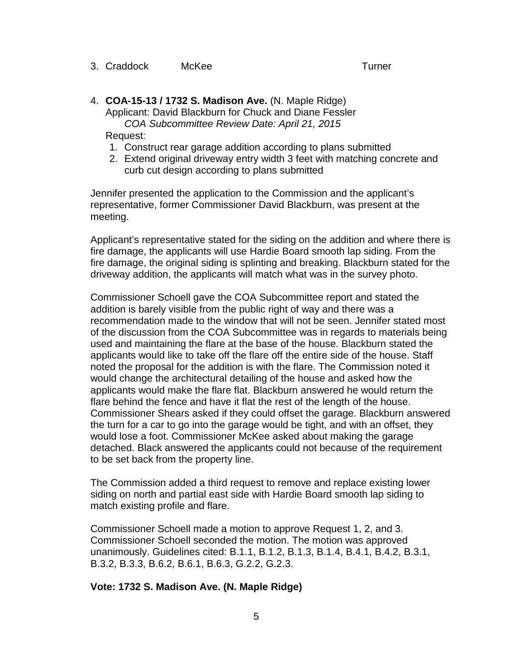3. Craddock McKee Turner

4. **COA-15-13 / 1732 S. Madison Ave.** (N. Maple Ridge) Applicant: David Blackburn for Chuck and Diane Fessler *COA Subcommittee Review Date: April 21, 2015*

Request:

- 1. Construct rear garage addition according to plans submitted
- 2. Extend original driveway entry width 3 feet with matching concrete and curb cut design according to plans submitted

Jennifer presented the application to the Commission and the applicant's representative, former Commissioner David Blackburn, was present at the meeting.

Applicant's representative stated for the siding on the addition and where there is fire damage, the applicants will use Hardie Board smooth lap siding. From the fire damage, the original siding is splinting and breaking. Blackburn stated for the driveway addition, the applicants will match what was in the survey photo.

Commissioner Schoell gave the COA Subcommittee report and stated the addition is barely visible from the public right of way and there was a recommendation made to the window that will not be seen. Jennifer stated most of the discussion from the COA Subcommittee was in regards to materials being used and maintaining the flare at the base of the house. Blackburn stated the applicants would like to take off the flare off the entire side of the house. Staff noted the proposal for the addition is with the flare. The Commission noted it would change the architectural detailing of the house and asked how the applicants would make the flare flat. Blackburn answered he would return the flare behind the fence and have it flat the rest of the length of the house. Commissioner Shears asked if they could offset the garage. Blackburn answered the turn for a car to go into the garage would be tight, and with an offset, they would lose a foot. Commissioner McKee asked about making the garage detached. Black answered the applicants could not because of the requirement to be set back from the property line.

The Commission added a third request to remove and replace existing lower siding on north and partial east side with Hardie Board smooth lap siding to match existing profile and flare.

Commissioner Schoell made a motion to approve Request 1, 2, and 3. Commissioner Schoell seconded the motion. The motion was approved unanimously. Guidelines cited: B.1.1, B.1.2, B.1.3, B.1.4, B.4.1, B.4.2, B.3.1, B.3.2, B.3.3, B.6.2, B.6.1, B.6.3, G.2.2, G.2.3.

#### **Vote: 1732 S. Madison Ave. (N. Maple Ridge)**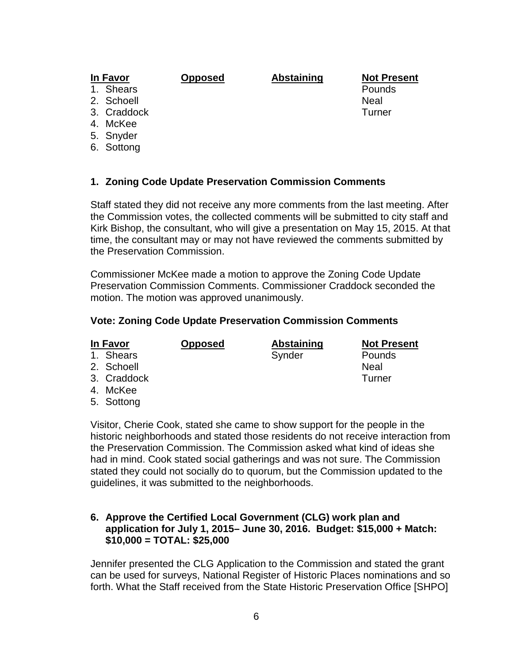## **In Favor Opposed Abstaining Not Present**

- 
- 2. Schoell and the set of the set of the set of the set of the set of the set of the set of the set of the set of the set of the set of the set of the set of the set of the set of the set of the set of the set of the set o
- 
- 4. McKee
- 5. Snyder
- 6. Sottong

### **1. Zoning Code Update Preservation Commission Comments**

Staff stated they did not receive any more comments from the last meeting. After the Commission votes, the collected comments will be submitted to city staff and Kirk Bishop, the consultant, who will give a presentation on May 15, 2015. At that time, the consultant may or may not have reviewed the comments submitted by the Preservation Commission.

Commissioner McKee made a motion to approve the Zoning Code Update Preservation Commission Comments. Commissioner Craddock seconded the motion. The motion was approved unanimously.

#### **Vote: Zoning Code Update Preservation Commission Comments**

| In Favor    | <b>Opposed</b> | Abstaining | <b>Not Present</b> |
|-------------|----------------|------------|--------------------|
| 1. Shears   |                | Synder     | Pounds             |
| 2. Schoell  |                |            | <b>Neal</b>        |
| 3. Craddock |                |            | Turner             |
| 4. McKee    |                |            |                    |
|             |                |            |                    |

5. Sottong

Visitor, Cherie Cook, stated she came to show support for the people in the historic neighborhoods and stated those residents do not receive interaction from the Preservation Commission. The Commission asked what kind of ideas she had in mind. Cook stated social gatherings and was not sure. The Commission stated they could not socially do to quorum, but the Commission updated to the guidelines, it was submitted to the neighborhoods.

#### **6. Approve the Certified Local Government (CLG) work plan and application for July 1, 2015– June 30, 2016. Budget: \$15,000 + Match: \$10,000 = TOTAL: \$25,000**

Jennifer presented the CLG Application to the Commission and stated the grant can be used for surveys, National Register of Historic Places nominations and so forth. What the Staff received from the State Historic Preservation Office [SHPO]

1. Shears **Pounds Pounds** 3. Craddock Turner